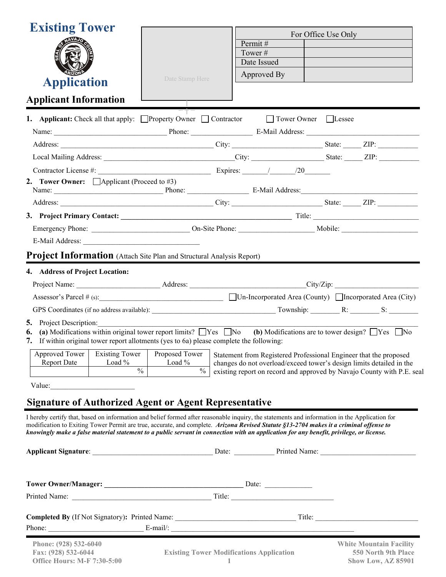| Permit#<br>Tower#<br>Date Issued<br>Approved By<br>Date Stamp Here<br><b>Application</b><br><b>Applicant Information</b><br><b>1.</b> Applicant: Check all that apply: Property Owner Contractor<br>Tower Owner Lessee<br>Contractor License #: Expires: / / / /20<br><b>Project Information</b> (Attach Site Plan and Structural Analysis Report)<br>4. Address of Project Location:<br>(a) Modifications within original tower report limits? $\Box$ Yes $\Box$ No (b) Modifications are to tower design? $\Box$ Yes $\Box$ No<br>6.<br>7. If within original tower report allotments (yes to 6a) please complete the following:<br>Approved Tower<br><b>Existing Tower</b><br>Proposed Tower<br>Statement from Registered Professional Engineer that the proposed<br>Load %<br><b>Report Date</b><br>Load %<br>changes do not overload/exceed tower's design limits detailed in the<br>$\frac{0}{6}$<br>$\frac{0}{0}$<br>existing report on record and approved by Navajo County with P.E. seal<br>Value:<br><b>Signature of Authorized Agent or Agent Representative</b><br>I hereby certify that, based on information and belief formed after reasonable inquiry, the statements and information in the Application for<br>modification to Exiting Tower Permit are true, accurate, and complete. Arizona Revised Statute §13-2704 makes it a criminal offense to<br>knowingly make a false material statement to a public servant in connection with an application for any benefit, privilege, or license.<br>Completed By (If Not Signatory): Printed Name: Title: Title: Title:<br>Phone: E-mail/: E-mail/:<br>Phone: (928) 532-6040<br><b>White Mountain Facility</b><br>Fax: (928) 532-6044<br>550 North 9th Place<br><b>Existing Tower Modifications Application</b> | <b>Existing Tower</b>                                   |                     |
|-----------------------------------------------------------------------------------------------------------------------------------------------------------------------------------------------------------------------------------------------------------------------------------------------------------------------------------------------------------------------------------------------------------------------------------------------------------------------------------------------------------------------------------------------------------------------------------------------------------------------------------------------------------------------------------------------------------------------------------------------------------------------------------------------------------------------------------------------------------------------------------------------------------------------------------------------------------------------------------------------------------------------------------------------------------------------------------------------------------------------------------------------------------------------------------------------------------------------------------------------------------------------------------------------------------------------------------------------------------------------------------------------------------------------------------------------------------------------------------------------------------------------------------------------------------------------------------------------------------------------------------------------------------------------------------------------------------------------------------------------------------------------------------|---------------------------------------------------------|---------------------|
|                                                                                                                                                                                                                                                                                                                                                                                                                                                                                                                                                                                                                                                                                                                                                                                                                                                                                                                                                                                                                                                                                                                                                                                                                                                                                                                                                                                                                                                                                                                                                                                                                                                                                                                                                                                   |                                                         | For Office Use Only |
|                                                                                                                                                                                                                                                                                                                                                                                                                                                                                                                                                                                                                                                                                                                                                                                                                                                                                                                                                                                                                                                                                                                                                                                                                                                                                                                                                                                                                                                                                                                                                                                                                                                                                                                                                                                   |                                                         |                     |
|                                                                                                                                                                                                                                                                                                                                                                                                                                                                                                                                                                                                                                                                                                                                                                                                                                                                                                                                                                                                                                                                                                                                                                                                                                                                                                                                                                                                                                                                                                                                                                                                                                                                                                                                                                                   |                                                         |                     |
|                                                                                                                                                                                                                                                                                                                                                                                                                                                                                                                                                                                                                                                                                                                                                                                                                                                                                                                                                                                                                                                                                                                                                                                                                                                                                                                                                                                                                                                                                                                                                                                                                                                                                                                                                                                   |                                                         |                     |
|                                                                                                                                                                                                                                                                                                                                                                                                                                                                                                                                                                                                                                                                                                                                                                                                                                                                                                                                                                                                                                                                                                                                                                                                                                                                                                                                                                                                                                                                                                                                                                                                                                                                                                                                                                                   |                                                         |                     |
|                                                                                                                                                                                                                                                                                                                                                                                                                                                                                                                                                                                                                                                                                                                                                                                                                                                                                                                                                                                                                                                                                                                                                                                                                                                                                                                                                                                                                                                                                                                                                                                                                                                                                                                                                                                   |                                                         |                     |
|                                                                                                                                                                                                                                                                                                                                                                                                                                                                                                                                                                                                                                                                                                                                                                                                                                                                                                                                                                                                                                                                                                                                                                                                                                                                                                                                                                                                                                                                                                                                                                                                                                                                                                                                                                                   |                                                         |                     |
|                                                                                                                                                                                                                                                                                                                                                                                                                                                                                                                                                                                                                                                                                                                                                                                                                                                                                                                                                                                                                                                                                                                                                                                                                                                                                                                                                                                                                                                                                                                                                                                                                                                                                                                                                                                   |                                                         |                     |
|                                                                                                                                                                                                                                                                                                                                                                                                                                                                                                                                                                                                                                                                                                                                                                                                                                                                                                                                                                                                                                                                                                                                                                                                                                                                                                                                                                                                                                                                                                                                                                                                                                                                                                                                                                                   |                                                         |                     |
|                                                                                                                                                                                                                                                                                                                                                                                                                                                                                                                                                                                                                                                                                                                                                                                                                                                                                                                                                                                                                                                                                                                                                                                                                                                                                                                                                                                                                                                                                                                                                                                                                                                                                                                                                                                   |                                                         |                     |
|                                                                                                                                                                                                                                                                                                                                                                                                                                                                                                                                                                                                                                                                                                                                                                                                                                                                                                                                                                                                                                                                                                                                                                                                                                                                                                                                                                                                                                                                                                                                                                                                                                                                                                                                                                                   |                                                         |                     |
|                                                                                                                                                                                                                                                                                                                                                                                                                                                                                                                                                                                                                                                                                                                                                                                                                                                                                                                                                                                                                                                                                                                                                                                                                                                                                                                                                                                                                                                                                                                                                                                                                                                                                                                                                                                   | <b>2.</b> Tower Owner: $\Box$ Applicant (Proceed to #3) |                     |
|                                                                                                                                                                                                                                                                                                                                                                                                                                                                                                                                                                                                                                                                                                                                                                                                                                                                                                                                                                                                                                                                                                                                                                                                                                                                                                                                                                                                                                                                                                                                                                                                                                                                                                                                                                                   |                                                         |                     |
|                                                                                                                                                                                                                                                                                                                                                                                                                                                                                                                                                                                                                                                                                                                                                                                                                                                                                                                                                                                                                                                                                                                                                                                                                                                                                                                                                                                                                                                                                                                                                                                                                                                                                                                                                                                   |                                                         |                     |
|                                                                                                                                                                                                                                                                                                                                                                                                                                                                                                                                                                                                                                                                                                                                                                                                                                                                                                                                                                                                                                                                                                                                                                                                                                                                                                                                                                                                                                                                                                                                                                                                                                                                                                                                                                                   |                                                         |                     |
|                                                                                                                                                                                                                                                                                                                                                                                                                                                                                                                                                                                                                                                                                                                                                                                                                                                                                                                                                                                                                                                                                                                                                                                                                                                                                                                                                                                                                                                                                                                                                                                                                                                                                                                                                                                   |                                                         |                     |
|                                                                                                                                                                                                                                                                                                                                                                                                                                                                                                                                                                                                                                                                                                                                                                                                                                                                                                                                                                                                                                                                                                                                                                                                                                                                                                                                                                                                                                                                                                                                                                                                                                                                                                                                                                                   |                                                         |                     |
|                                                                                                                                                                                                                                                                                                                                                                                                                                                                                                                                                                                                                                                                                                                                                                                                                                                                                                                                                                                                                                                                                                                                                                                                                                                                                                                                                                                                                                                                                                                                                                                                                                                                                                                                                                                   |                                                         |                     |
|                                                                                                                                                                                                                                                                                                                                                                                                                                                                                                                                                                                                                                                                                                                                                                                                                                                                                                                                                                                                                                                                                                                                                                                                                                                                                                                                                                                                                                                                                                                                                                                                                                                                                                                                                                                   |                                                         |                     |
|                                                                                                                                                                                                                                                                                                                                                                                                                                                                                                                                                                                                                                                                                                                                                                                                                                                                                                                                                                                                                                                                                                                                                                                                                                                                                                                                                                                                                                                                                                                                                                                                                                                                                                                                                                                   |                                                         |                     |
|                                                                                                                                                                                                                                                                                                                                                                                                                                                                                                                                                                                                                                                                                                                                                                                                                                                                                                                                                                                                                                                                                                                                                                                                                                                                                                                                                                                                                                                                                                                                                                                                                                                                                                                                                                                   |                                                         |                     |
|                                                                                                                                                                                                                                                                                                                                                                                                                                                                                                                                                                                                                                                                                                                                                                                                                                                                                                                                                                                                                                                                                                                                                                                                                                                                                                                                                                                                                                                                                                                                                                                                                                                                                                                                                                                   |                                                         |                     |
|                                                                                                                                                                                                                                                                                                                                                                                                                                                                                                                                                                                                                                                                                                                                                                                                                                                                                                                                                                                                                                                                                                                                                                                                                                                                                                                                                                                                                                                                                                                                                                                                                                                                                                                                                                                   | <b>5.</b> Project Description:                          |                     |
|                                                                                                                                                                                                                                                                                                                                                                                                                                                                                                                                                                                                                                                                                                                                                                                                                                                                                                                                                                                                                                                                                                                                                                                                                                                                                                                                                                                                                                                                                                                                                                                                                                                                                                                                                                                   |                                                         |                     |
|                                                                                                                                                                                                                                                                                                                                                                                                                                                                                                                                                                                                                                                                                                                                                                                                                                                                                                                                                                                                                                                                                                                                                                                                                                                                                                                                                                                                                                                                                                                                                                                                                                                                                                                                                                                   |                                                         |                     |
|                                                                                                                                                                                                                                                                                                                                                                                                                                                                                                                                                                                                                                                                                                                                                                                                                                                                                                                                                                                                                                                                                                                                                                                                                                                                                                                                                                                                                                                                                                                                                                                                                                                                                                                                                                                   |                                                         |                     |
|                                                                                                                                                                                                                                                                                                                                                                                                                                                                                                                                                                                                                                                                                                                                                                                                                                                                                                                                                                                                                                                                                                                                                                                                                                                                                                                                                                                                                                                                                                                                                                                                                                                                                                                                                                                   |                                                         |                     |
|                                                                                                                                                                                                                                                                                                                                                                                                                                                                                                                                                                                                                                                                                                                                                                                                                                                                                                                                                                                                                                                                                                                                                                                                                                                                                                                                                                                                                                                                                                                                                                                                                                                                                                                                                                                   |                                                         |                     |
|                                                                                                                                                                                                                                                                                                                                                                                                                                                                                                                                                                                                                                                                                                                                                                                                                                                                                                                                                                                                                                                                                                                                                                                                                                                                                                                                                                                                                                                                                                                                                                                                                                                                                                                                                                                   |                                                         |                     |
|                                                                                                                                                                                                                                                                                                                                                                                                                                                                                                                                                                                                                                                                                                                                                                                                                                                                                                                                                                                                                                                                                                                                                                                                                                                                                                                                                                                                                                                                                                                                                                                                                                                                                                                                                                                   |                                                         |                     |
|                                                                                                                                                                                                                                                                                                                                                                                                                                                                                                                                                                                                                                                                                                                                                                                                                                                                                                                                                                                                                                                                                                                                                                                                                                                                                                                                                                                                                                                                                                                                                                                                                                                                                                                                                                                   |                                                         |                     |
|                                                                                                                                                                                                                                                                                                                                                                                                                                                                                                                                                                                                                                                                                                                                                                                                                                                                                                                                                                                                                                                                                                                                                                                                                                                                                                                                                                                                                                                                                                                                                                                                                                                                                                                                                                                   |                                                         |                     |
|                                                                                                                                                                                                                                                                                                                                                                                                                                                                                                                                                                                                                                                                                                                                                                                                                                                                                                                                                                                                                                                                                                                                                                                                                                                                                                                                                                                                                                                                                                                                                                                                                                                                                                                                                                                   |                                                         |                     |
|                                                                                                                                                                                                                                                                                                                                                                                                                                                                                                                                                                                                                                                                                                                                                                                                                                                                                                                                                                                                                                                                                                                                                                                                                                                                                                                                                                                                                                                                                                                                                                                                                                                                                                                                                                                   |                                                         |                     |
|                                                                                                                                                                                                                                                                                                                                                                                                                                                                                                                                                                                                                                                                                                                                                                                                                                                                                                                                                                                                                                                                                                                                                                                                                                                                                                                                                                                                                                                                                                                                                                                                                                                                                                                                                                                   |                                                         |                     |
|                                                                                                                                                                                                                                                                                                                                                                                                                                                                                                                                                                                                                                                                                                                                                                                                                                                                                                                                                                                                                                                                                                                                                                                                                                                                                                                                                                                                                                                                                                                                                                                                                                                                                                                                                                                   |                                                         |                     |
|                                                                                                                                                                                                                                                                                                                                                                                                                                                                                                                                                                                                                                                                                                                                                                                                                                                                                                                                                                                                                                                                                                                                                                                                                                                                                                                                                                                                                                                                                                                                                                                                                                                                                                                                                                                   |                                                         |                     |
|                                                                                                                                                                                                                                                                                                                                                                                                                                                                                                                                                                                                                                                                                                                                                                                                                                                                                                                                                                                                                                                                                                                                                                                                                                                                                                                                                                                                                                                                                                                                                                                                                                                                                                                                                                                   |                                                         |                     |
|                                                                                                                                                                                                                                                                                                                                                                                                                                                                                                                                                                                                                                                                                                                                                                                                                                                                                                                                                                                                                                                                                                                                                                                                                                                                                                                                                                                                                                                                                                                                                                                                                                                                                                                                                                                   |                                                         |                     |
|                                                                                                                                                                                                                                                                                                                                                                                                                                                                                                                                                                                                                                                                                                                                                                                                                                                                                                                                                                                                                                                                                                                                                                                                                                                                                                                                                                                                                                                                                                                                                                                                                                                                                                                                                                                   |                                                         |                     |

**1** 

**Show Low, AZ 85901**